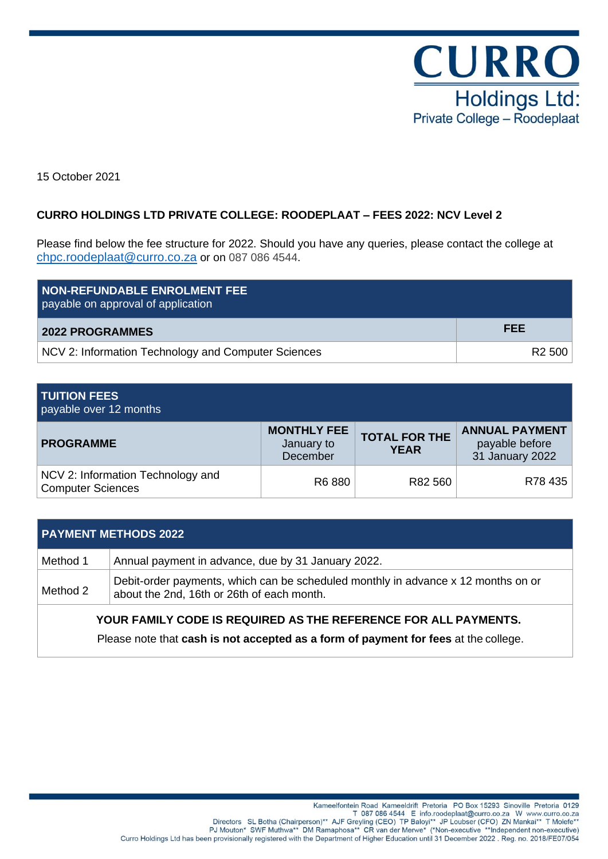

15 October 2021

## **CURRO HOLDINGS LTD PRIVATE COLLEGE: ROODEPLAAT – FEES 2022: NCV Level 2**

Please find below the fee structure for 2022. Should you have any queries, please contact the college at [chpc.roodeplaat@curro.co.za](mailto:chpc.roodeplaat@curro.co.za) or on 087 086 4544.

| NON-REFUNDABLE ENROLMENT FEE<br>payable on approval of application |                    |
|--------------------------------------------------------------------|--------------------|
| <b>2022 PROGRAMMES</b>                                             | FEE                |
| NCV 2: Information Technology and Computer Sciences                | R <sub>2</sub> 500 |

# **TUITION FEES**

payable over 12 months

| <b>PROGRAMME</b>                                              | <b>MONTHLY FEE</b><br>January to<br>December | <b>TOTAL FOR THE</b><br><b>YEAR</b> | <b>ANNUAL PAYMENT</b><br>payable before<br>31 January 2022 |
|---------------------------------------------------------------|----------------------------------------------|-------------------------------------|------------------------------------------------------------|
| NCV 2: Information Technology and<br><b>Computer Sciences</b> | R6 880                                       | R82 560                             | R78 435                                                    |

| <b>PAYMENT METHODS 2022</b> |                                                                                                                                 |  |  |
|-----------------------------|---------------------------------------------------------------------------------------------------------------------------------|--|--|
| Method 1                    | Annual payment in advance, due by 31 January 2022.                                                                              |  |  |
| Method 2                    | Debit-order payments, which can be scheduled monthly in advance x 12 months on or<br>about the 2nd, 16th or 26th of each month. |  |  |
|                             | YOUR FAMILY CODE IS REQUIRED AS THE REFERENCE FOR ALL PAYMENTS.                                                                 |  |  |
|                             | Please note that cash is not accepted as a form of payment for fees at the college.                                             |  |  |